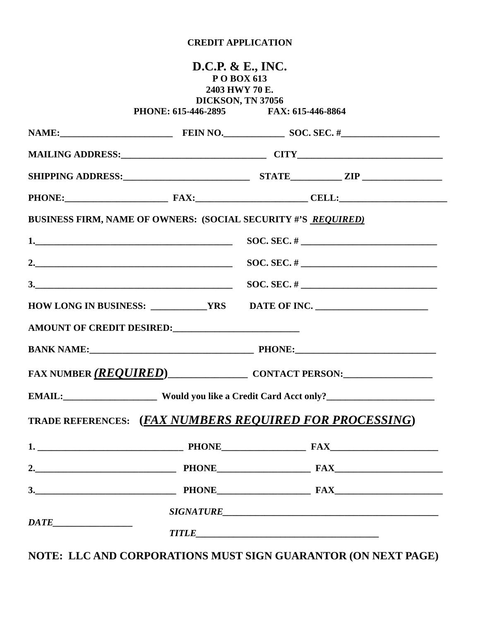## **CREDIT APPLICATION**

|                                                                      |                                       | <b>D.C.P. &amp; E., INC.</b><br>POBOX 613<br>2403 HWY 70 E.<br>DICKSON, TN 37056 |                    |
|----------------------------------------------------------------------|---------------------------------------|----------------------------------------------------------------------------------|--------------------|
|                                                                      | PHONE: 615-446-2895 FAX: 615-446-8864 |                                                                                  |                    |
|                                                                      |                                       |                                                                                  |                    |
|                                                                      |                                       |                                                                                  |                    |
|                                                                      |                                       |                                                                                  |                    |
|                                                                      |                                       |                                                                                  | PHONE: FAX: CELL:  |
| <b>BUSINESS FIRM, NAME OF OWNERS: (SOCIAL SECURITY #'S REQUIRED)</b> |                                       |                                                                                  |                    |
|                                                                      |                                       |                                                                                  |                    |
|                                                                      | $SOC. SEC. # \nightharpoonup$         |                                                                                  |                    |
|                                                                      |                                       |                                                                                  |                    |
|                                                                      |                                       |                                                                                  |                    |
| AMOUNT OF CREDIT DESIRED:                                            |                                       |                                                                                  |                    |
|                                                                      |                                       |                                                                                  |                    |
| FAX NUMBER (REQUIRED) CONTACT PERSON:                                |                                       |                                                                                  |                    |
|                                                                      |                                       |                                                                                  |                    |
| TRADE REFERENCES: (FAX NUMBERS REQUIRED FOR PROCESSING)              |                                       |                                                                                  |                    |
|                                                                      |                                       |                                                                                  |                    |
|                                                                      |                                       |                                                                                  |                    |
|                                                                      |                                       |                                                                                  | 3. PHONE PHONE FAX |
|                                                                      |                                       |                                                                                  |                    |
|                                                                      |                                       |                                                                                  |                    |

**NOTE: LLC AND CORPORATIONS MUST SIGN GUARANTOR (ON NEXT PAGE)**